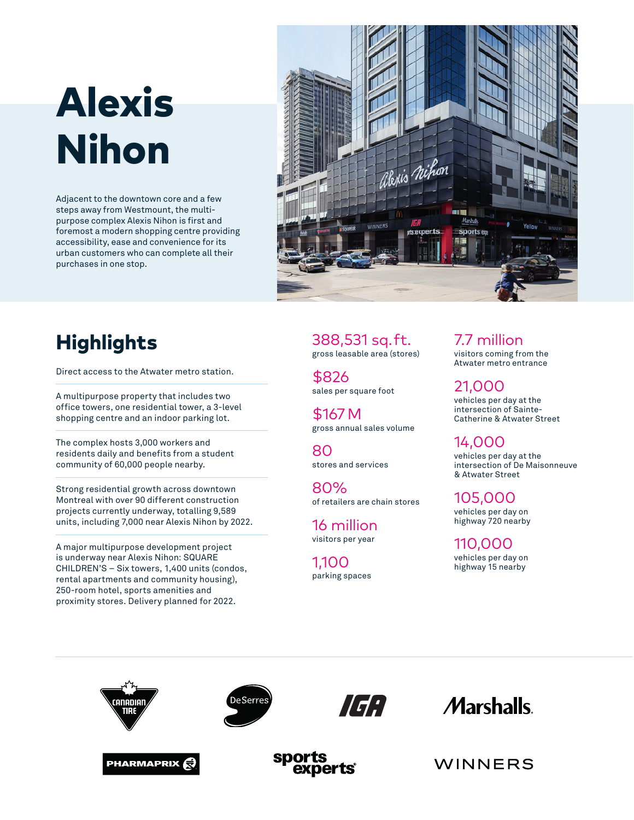# Alexis Nihon

Adjacent to the downtown core and a few steps away from Westmount, the multipurpose complex Alexis Nihon is first and foremost a modern shopping centre providing accessibility, ease and convenience for its urban customers who can complete all their purchases in one stop.



## **Highlights**

Direct access to the Atwater metro station.

A multipurpose property that includes two office towers, one residential tower, a 3-level shopping centre and an indoor parking lot.

The complex hosts 3,000 workers and residents daily and benefits from a student community of 60,000 people nearby.

Strong residential growth across downtown Montreal with over 90 different construction projects currently underway, totalling 9,589 units, including 7,000 near Alexis Nihon by 2022.

A major multipurpose development project is underway near Alexis Nihon: SQUARE CHILDREN'S – Six towers, 1,400 units (condos, rental apartments and community housing), 250-room hotel, sports amenities and proximity stores. Delivery planned for 2022.

388,531 sq. ft. gross leasable area (stores)

\$826 sales per square foot

\$167  M gross annual sales volume

80 stores and services

80% of retailers are chain stores

16 million visitors per year

1,100 parking spaces 7.7 million visitors coming from the Atwater metro entrance

21,000 vehicles per day at the intersection of Sainte-Catherine & Atwater Street

14,000 vehicles per day at the intersection of De Maisonneuve & Atwater Street

105,000 vehicles per day on highway 720 nearby

110,000 vehicles per day on highway 15 nearby













WINNERS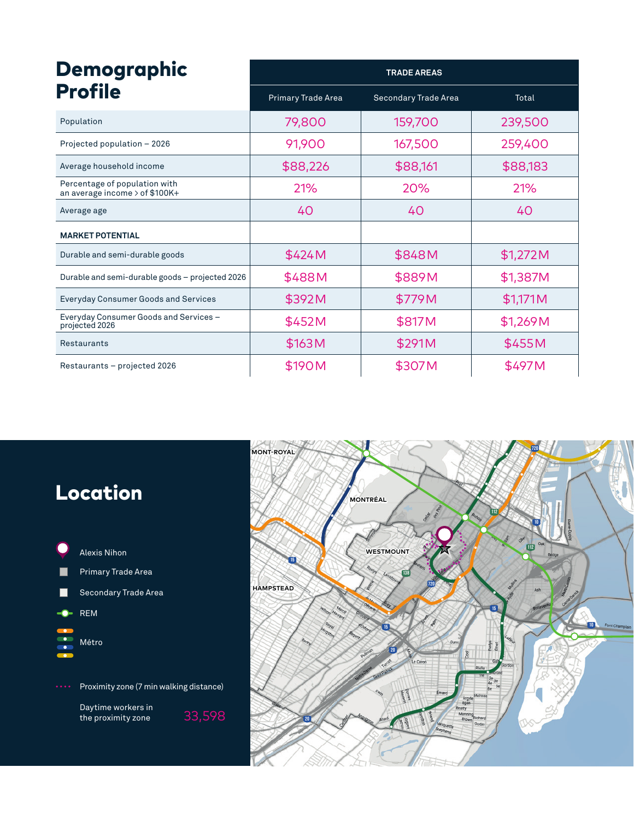| <b>Demographic</b><br><b>Profile</b>                              | <b>TRADE AREAS</b>        |                             |          |
|-------------------------------------------------------------------|---------------------------|-----------------------------|----------|
|                                                                   | <b>Primary Trade Area</b> | <b>Secondary Trade Area</b> | Total    |
| Population                                                        | 79,800                    | 159,700                     | 239,500  |
| Projected population - 2026                                       | 91,900                    | 167,500                     | 259,400  |
| Average household income                                          | \$88,226                  | \$88,161                    | \$88,183 |
| Percentage of population with<br>an average income $>$ of \$100K+ | 21%                       | 20%                         | 21%      |
| Average age                                                       | 40                        | 40                          | 40       |
| <b>MARKET POTENTIAL</b>                                           |                           |                             |          |
| Durable and semi-durable goods                                    | \$424M                    | \$848M                      | \$1,272M |
| Durable and semi-durable goods - projected 2026                   | \$488M                    | \$889M                      | \$1,387M |
| <b>Everyday Consumer Goods and Services</b>                       | \$392M                    | \$779M                      | \$1,171M |
| Everyday Consumer Goods and Services -<br>projected 2026          | \$452M                    | \$817M                      | \$1,269M |
| Restaurants                                                       | \$163M                    | \$291M                      | \$455M   |
| Restaurants - projected 2026                                      | \$190M                    | \$307M                      | \$497M   |